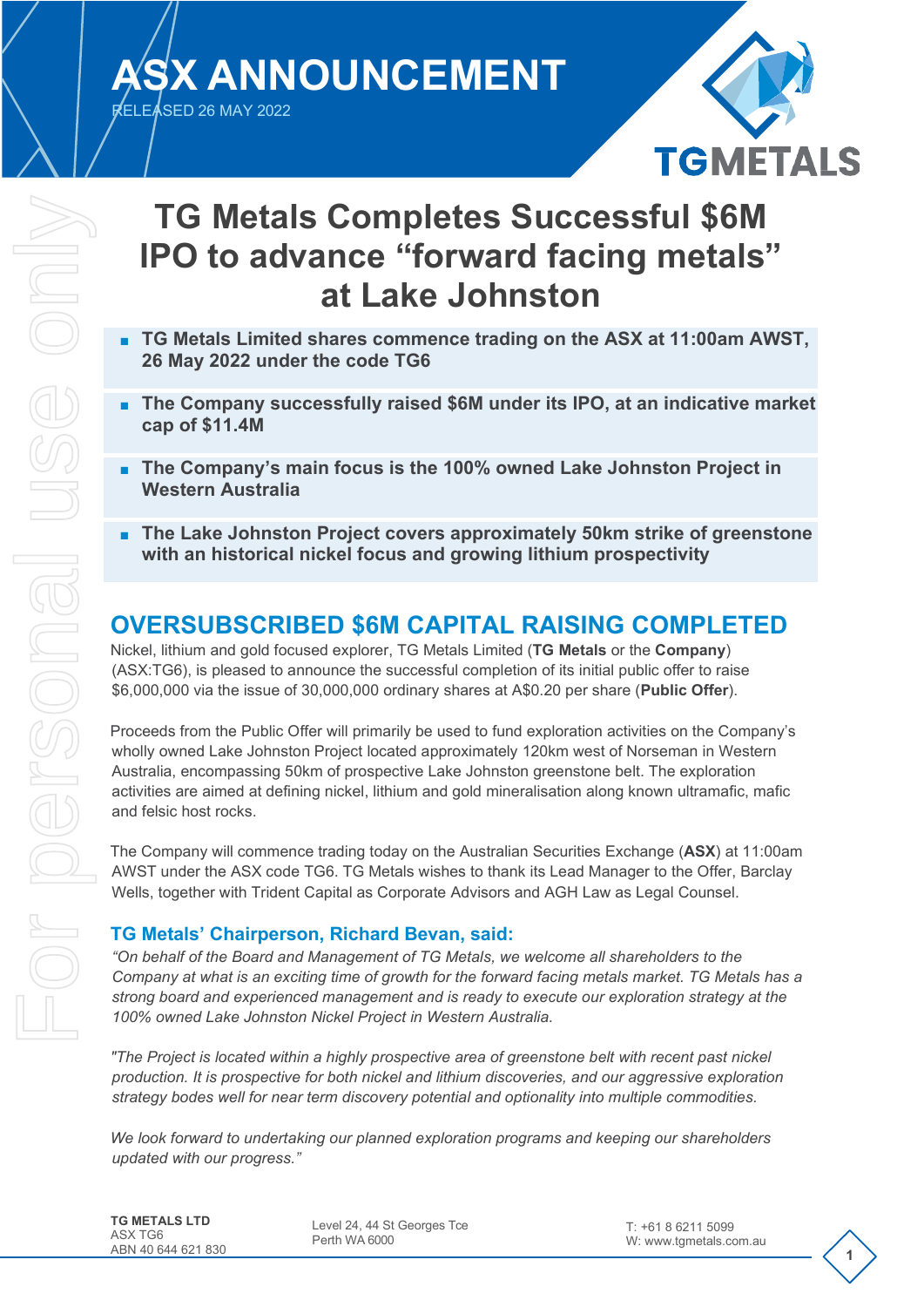**ASX ANNOUNCEMENT**

RELEASED 26 MAY 2022



# **TG Metals Completes Successful \$6M IPO to advance "forward facing metals" at Lake Johnston**

- **TG Metals Limited shares commence trading on the ASX at 11:00am AWST, 26 May 2022 under the code TG6**
- **The Company successfully raised \$6M under its IPO, at an indicative market cap of \$11.4M**
- **The Company's main focus is the 100% owned Lake Johnston Project in Western Australia**
- **The Lake Johnston Project covers approximately 50km strike of greenstone with an historical nickel focus and growing lithium prospectivity**

## **OVERSUBSCRIBED \$6M CAPITAL RAISING COMPLETED**

Nickel, lithium and gold focused explorer, TG Metals Limited (**TG Metals** or the **Company**) (ASX:TG6), is pleased to announce the successful completion of its initial public offer to raise \$6,000,000 via the issue of 30,000,000 ordinary shares at A\$0.20 per share (**Public Offer**).

Proceeds from the Public Offer will primarily be used to fund exploration activities on the Company's wholly owned Lake Johnston Project located approximately 120km west of Norseman in Western Australia, encompassing 50km of prospective Lake Johnston greenstone belt. The exploration activities are aimed at defining nickel, lithium and gold mineralisation along known ultramafic, mafic and felsic host rocks.

The Company will commence trading today on the Australian Securities Exchange (**ASX**) at 11:00am AWST under the ASX code TG6. TG Metals wishes to thank its Lead Manager to the Offer, Barclay Wells, together with Trident Capital as Corporate Advisors and AGH Law as Legal Counsel.

### **TG Metals' Chairperson, Richard Bevan, said:**

*"On behalf of the Board and Management of TG Metals, we welcome all shareholders to the Company at what is an exciting time of growth for the forward facing metals market. TG Metals has a strong board and experienced management and is ready to execute our exploration strategy at the 100% owned Lake Johnston Nickel Project in Western Australia.*

*"The Project is located within a highly prospective area of greenstone belt with recent past nickel production. It is prospective for both nickel and lithium discoveries, and our aggressive exploration strategy bodes well for near term discovery potential and optionality into multiple commodities.* 

*We look forward to undertaking our planned exploration programs and keeping our shareholders updated with our progress."*

**TG METALS LTD** ASX TG6 ABN 40 644 621 830

Level 24, 44 St Georges Tce Perth WA 6000

**1**